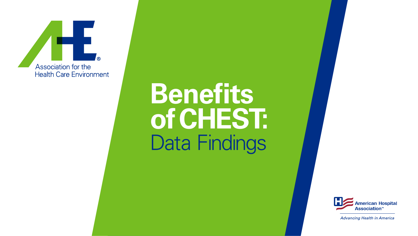

# **Benets ofCHEST:** Data Findings



**Advancing Health in America**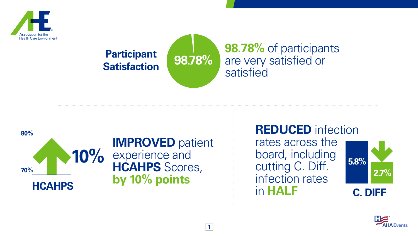



**80%**



### **IMPROVED** patient **10%** experience and **HCAHPS** Scores,

### **REDUCED** infection

rates across the board, including cutting C. Diff. infection rates in **HALF C. DIFF**



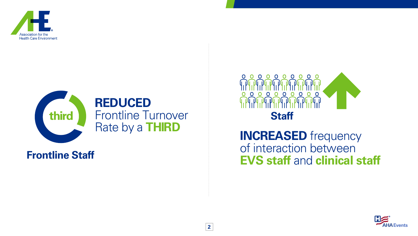



**Frontline Staff**



**INCREASED** frequency of interaction between **EVS staff** and **clinical staff**

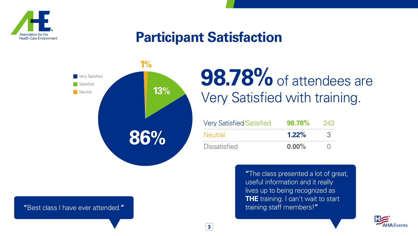

### **Participant Satisfaction**



## **98.78%** of attendees are Very Satisfied with training.

| <b>Very Satisfied/Satisfied</b> | 98.78%   | 243 |
|---------------------------------|----------|-----|
| <b>Neutral</b>                  | $1.22\%$ | R   |
| <b>Dissatisfied</b>             | $0.00\%$ |     |

**"**The class presented a lot of great, useful information and it really lives up to being recognized as **THE** training. I can't wait to start training staff members!**"**



**"**Best class I have ever attended.**"**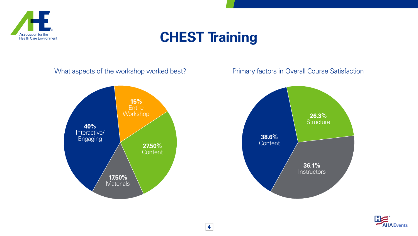

### **CHEST Training**

What aspects of the workshop worked best?



#### Primary factors in Overall Course Satisfaction



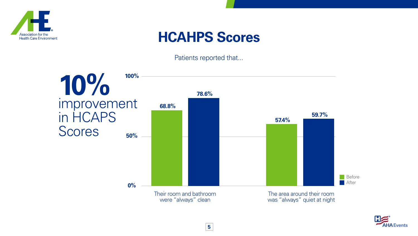

### **HCAHPS Scores**

Patients reported that...



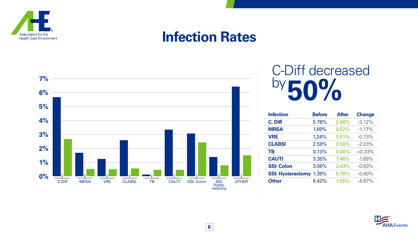

### **Infection Rates**



## **50%** by C-Diff decreased

| <b>Infection</b>         | <b>Before</b> | <b>After</b> | <b>Change</b> |
|--------------------------|---------------|--------------|---------------|
| C. Diff                  | 5.78%         | 2.66%        | $-3.12%$      |
| <b>MRSA</b>              | 1.69%         | 0.52%        | $-1.17%$      |
| <b>VRE</b>               | 1.24%         | 0.51%        | $-0.73%$      |
| <b>CLABSI</b>            | 2.59%         | 0.56%        | $-2.03%$      |
| ТB                       | 0.13%         | 0.46%        | $+0.33%$      |
| <b>CAUTI</b>             | 3.35%         | 1.46%        | $-1.89%$      |
| <b>SSI: Colon</b>        | 3.06%         | 2.43%        | $-0.63%$      |
| <b>SSI: Hysterectomy</b> | 1.39%         | 0.79%        | $-0.60%$      |
| <b>Other</b>             | 6.42%         | 1.55%        | $-4.87%$      |

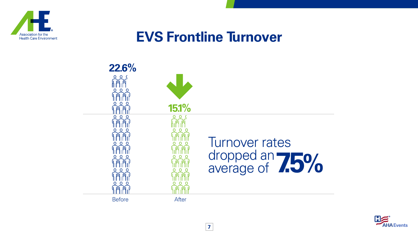

### **EVS Frontline Turnover**